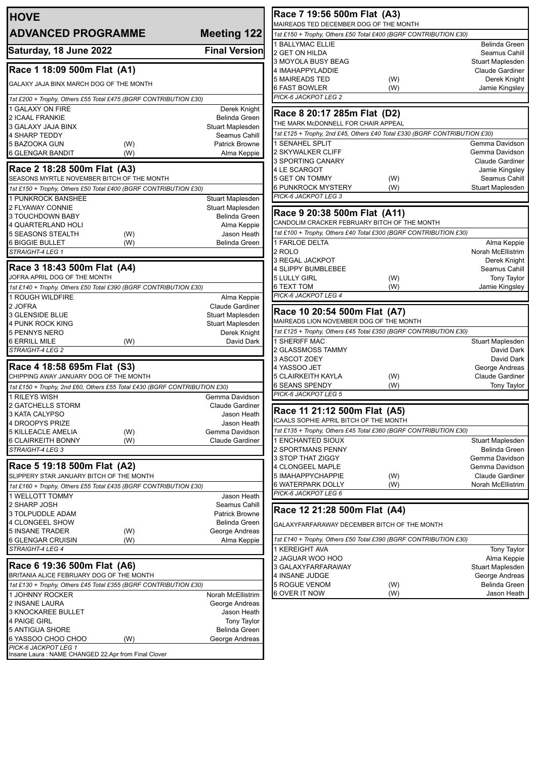| <b>HOVE</b>                                                                                                                                                                                                                                                               |                                            |
|---------------------------------------------------------------------------------------------------------------------------------------------------------------------------------------------------------------------------------------------------------------------------|--------------------------------------------|
| <b>ADVANCED PROGRAMME</b>                                                                                                                                                                                                                                                 | <b>Meeting 122</b>                         |
| Saturday, 18 June 2022                                                                                                                                                                                                                                                    | <b>Final Version</b>                       |
|                                                                                                                                                                                                                                                                           |                                            |
| Race 1 18:09 500m Flat (A1)                                                                                                                                                                                                                                               |                                            |
| GALAXY JAJA BINX MARCH DOG OF THE MONTH                                                                                                                                                                                                                                   |                                            |
| 1st £200 + Trophy, Others £55 Total £475 (BGRF CONTRIBUTION £30)<br>1 GALAXY ON FIRE                                                                                                                                                                                      | Derek Knight                               |
| <b>2 ICAAL FRANKIE</b>                                                                                                                                                                                                                                                    | Belinda Green                              |
| 3 GALAXY JAJA BINX<br>4 SHARP TEDDY                                                                                                                                                                                                                                       | Stuart Maplesden<br>Seamus Cahill          |
| 5 BAZOOKA GUN<br>(W)                                                                                                                                                                                                                                                      | <b>Patrick Browne</b>                      |
| <b>6 GLENGAR BANDIT</b><br>(W)                                                                                                                                                                                                                                            | Alma Keppie                                |
| Race 2 18:28 500m Flat (A3)                                                                                                                                                                                                                                               |                                            |
| SEASONS MYRTLE NOVEMBER BITCH OF THE MONTH<br>1st £150 + Trophy, Others £50 Total £400 (BGRF CONTRIBUTION £30)                                                                                                                                                            |                                            |
| 1 PUNKROCK BANSHEE                                                                                                                                                                                                                                                        | Stuart Maplesden                           |
| 2 FLYAWAY CONNIE                                                                                                                                                                                                                                                          | Stuart Maplesden<br>Belinda Green          |
| 3 TOUCHDOWN BABY<br>4 QUARTERLAND HOLI                                                                                                                                                                                                                                    | Alma Keppie                                |
| 5 SEASONS STEALTH<br>(W)                                                                                                                                                                                                                                                  | Jason Heath                                |
| 6 BIGGIE BULLET<br>(W)<br>STRAIGHT-4 LEG 1                                                                                                                                                                                                                                | <b>Belinda Green</b>                       |
|                                                                                                                                                                                                                                                                           |                                            |
| Race 3 18:43 500m Flat (A4)<br>JOFRA APRIL DOG OF THE MONTH                                                                                                                                                                                                               |                                            |
| 1st £140 + Trophy, Others £50 Total £390 (BGRF CONTRIBUTION £30)                                                                                                                                                                                                          |                                            |
| 1 ROUGH WILDFIRE                                                                                                                                                                                                                                                          | Alma Keppie                                |
| 2 JOFRA<br>3 GLENSIDE BLUE                                                                                                                                                                                                                                                | <b>Claude Gardiner</b><br>Stuart Maplesden |
| 4 PUNK ROCK KING                                                                                                                                                                                                                                                          | Stuart Maplesden                           |
| 5 PENNYS NERO<br>(W)<br><b>6 ERRILL MILE</b>                                                                                                                                                                                                                              | Derek Knight<br>David Dark                 |
| STRAIGHT-4 LEG 2                                                                                                                                                                                                                                                          |                                            |
| Race 4 18:58 695m Flat (S3)                                                                                                                                                                                                                                               |                                            |
| CHIPPING AWAY JANUARY DOG OF THE MONTH                                                                                                                                                                                                                                    |                                            |
| 1st £150 + Trophy, 2nd £60, Others £55 Total £430 (BGRF CONTRIBUTION £30)                                                                                                                                                                                                 |                                            |
| 1 RILEYS WISH<br>2 GATCHELLS STORM                                                                                                                                                                                                                                        | Gemma Davidson<br>Claude Gardiner          |
| 3 KATA CALYPSO                                                                                                                                                                                                                                                            | Jason Heath                                |
| <b>4 DROOPYS PRIZE</b><br>5 KILLEACLE AMELIA<br>(W)                                                                                                                                                                                                                       | Jason Heath<br>Gemma Davidson              |
| 6 CLAIRKEITH BONNY<br>(W)                                                                                                                                                                                                                                                 | Claude Gardiner                            |
| STRAIGHT-4 LEG 3                                                                                                                                                                                                                                                          |                                            |
| Race 5 19:18 500m Flat (A2)                                                                                                                                                                                                                                               |                                            |
| SLIPPERY STAR JANUARY BITCH OF THE MONTH                                                                                                                                                                                                                                  |                                            |
| 1st £160 + Trophy, Others £55 Total £435 (BGRF CONTRIBUTION £30)<br><b>1 WELLOTT TOMMY</b>                                                                                                                                                                                | Jason Heath                                |
| 2 SHARP JOSH                                                                                                                                                                                                                                                              | Seamus Cahill                              |
| 3 TOLPUDDLE ADAM                                                                                                                                                                                                                                                          | <b>Patrick Browne</b>                      |
| <b>4 CLONGEEL SHOW</b>                                                                                                                                                                                                                                                    | Belinda Green                              |
|                                                                                                                                                                                                                                                                           |                                            |
| (W)<br>(W)                                                                                                                                                                                                                                                                | George Andreas<br>Alma Keppie              |
|                                                                                                                                                                                                                                                                           |                                            |
|                                                                                                                                                                                                                                                                           |                                            |
|                                                                                                                                                                                                                                                                           |                                            |
|                                                                                                                                                                                                                                                                           |                                            |
|                                                                                                                                                                                                                                                                           | Norah McEllistrim                          |
| <b>5 INSANE TRADER</b><br>6 GLENGAR CRUISIN<br>STRAIGHT-4 LEG 4<br>Race 6 19:36 500m Flat (A6)<br>BRITANIA ALICE FEBRUARY DOG OF THE MONTH<br>1st £130 + Trophy, Others £45 Total £355 (BGRF CONTRIBUTION £30)<br>1 JOHNNY ROCKER<br>2 INSANE LAURA<br>3 KNOCKAREE BULLET | George Andreas<br>Jason Heath              |
|                                                                                                                                                                                                                                                                           | <b>Tony Taylor</b>                         |
| 4 PAIGE GIRL<br>5 ANTIGUA SHORE<br>6 YASSOO CHOO CHOO<br>(W)<br>PICK-6 JACKPOT LEG 1                                                                                                                                                                                      | Belinda Green<br>George Andreas            |

| MAIREADS TED DECEMBER DOG OF THE MONTH                                                                           | Race 7 19:56 500m Flat (A3) |                                         |
|------------------------------------------------------------------------------------------------------------------|-----------------------------|-----------------------------------------|
| 1st £150 + Trophy, Others £50 Total £400 (BGRF CONTRIBUTION £30)                                                 |                             |                                         |
| <b>1 BALLYMAC ELLIE</b>                                                                                          |                             | <b>Belinda Green</b>                    |
| 2 GET ON HILDA                                                                                                   |                             | Seamus Cahill                           |
| 3 MOYOLA BUSY BEAG                                                                                               |                             | Stuart Maplesden                        |
| 4 IMAHAPPYLADDIE                                                                                                 |                             | Claude Gardiner                         |
| 5 MAIREADS TED                                                                                                   | (W)                         | Derek Knight                            |
| 6 FAST BOWLER                                                                                                    | (W)                         | Jamie Kingsley                          |
| PICK-6 JACKPOT LEG 2                                                                                             |                             |                                         |
| Race 8 20:17 285m Flat (D2)                                                                                      |                             |                                         |
| THE MARK McDONNELL FOR CHAIR APPEAL                                                                              |                             |                                         |
| 1st £125 + Trophy, 2nd £45, Others £40 Total £330 (BGRF CONTRIBUTION £30)                                        |                             |                                         |
| 1 SENAHEL SPLIT                                                                                                  |                             | Gemma Davidson                          |
| 2 SKYWALKER CLIFF                                                                                                |                             | Gemma Davidson                          |
| 3 SPORTING CANARY                                                                                                |                             | <b>Claude Gardiner</b>                  |
| 4 LE SCARGOT                                                                                                     |                             | Jamie Kingsley                          |
| 5 GET ON TOMMY                                                                                                   | (W)                         | Seamus Cahill                           |
| 6 PUNKROCK MYSTERY                                                                                               | (W)                         | <b>Stuart Maplesden</b>                 |
| PICK-6 JACKPOT LEG 3                                                                                             |                             |                                         |
| Race 9 20:38 500m Flat (A11)                                                                                     |                             |                                         |
| CANDOLIM CRACKER FEBRUARY BITCH OF THE MONTH<br>1st £100 + Trophy, Others £40 Total £300 (BGRF CONTRIBUTION £30) |                             |                                         |
| 1 FARLOE DELTA                                                                                                   |                             |                                         |
| 2 ROLO                                                                                                           |                             | Alma Keppie<br><b>Norah McEllistrim</b> |
| 3 REGAL JACKPOT                                                                                                  |                             | Derek Knight                            |
| 4 SLIPPY BUMBLEBEE                                                                                               |                             | Seamus Cahill                           |
| 5 LULLY GIRL                                                                                                     | (W)                         | <b>Tony Taylor</b>                      |
| 6 TEXT TOM                                                                                                       | (W)                         | Jamie Kingsley                          |
| PICK-6 JACKPOT LEG 4                                                                                             |                             |                                         |
|                                                                                                                  |                             |                                         |
| Race 10 20:54 500m Flat (A7)<br>MAIREADS LION NOVEMBER DOG OF THE MONTH                                          |                             |                                         |
|                                                                                                                  |                             |                                         |
|                                                                                                                  |                             |                                         |
| 1st £125 + Trophy, Others £45 Total £350 (BGRF CONTRIBUTION £30)                                                 |                             |                                         |
| 1 SHERIFF MAC                                                                                                    |                             | Stuart Maplesden                        |
| 2 GLASSMOSS TAMMY                                                                                                |                             | David Dark                              |
| 3 ASCOT ZOEY                                                                                                     |                             | David Dark                              |
| 4 YASSOO JET                                                                                                     |                             | George Andreas                          |
| 5 CLAIRKEITH KAYLA                                                                                               | (W)                         | <b>Claude Gardiner</b>                  |
| 6 SEANS SPENDY<br>PICK-6 JACKPOT LEG 5                                                                           | (W)                         | <b>Tony Taylor</b>                      |
|                                                                                                                  |                             |                                         |
| Race 11 21:12 500m Flat (A5)<br>ICAALS SOPHIE APRIL BITCH OF THE MONTH                                           |                             |                                         |
| 1st £135 + Trophy, Others £45 Total £360 (BGRF CONTRIBUTION £30)                                                 |                             |                                         |
| 1 ENCHANTED SIOUX                                                                                                |                             | Stuart Maplesden                        |
| 2 SPORTMANS PENNY                                                                                                |                             | <b>Belinda Green</b>                    |
| 3 STOP THAT ZIGGY                                                                                                |                             | Gemma Davidson                          |
| <b>4 CLONGEEL MAPLE</b>                                                                                          |                             | Gemma Davidson                          |
| 5 IMAHAPPYCHAPPIE                                                                                                | (W)                         | <b>Claude Gardiner</b>                  |
| 6 WATERPARK DOLLY                                                                                                | (W)                         | <b>Norah McEllistrim</b>                |
| PICK-6 JACKPOT LEG 6                                                                                             |                             |                                         |
| Race 12 21:28 500m Flat (A4)                                                                                     |                             |                                         |
| GALAXYFARFARAWAY DECEMBER BITCH OF THE MONTH                                                                     |                             |                                         |
|                                                                                                                  |                             |                                         |
| 1st £140 + Trophy, Others £50 Total £390 (BGRF CONTRIBUTION £30)                                                 |                             |                                         |
|                                                                                                                  |                             | <b>Tony Taylor</b>                      |
| 1 KEREIGHT AVA<br>2 JAGUAR WOO HOO                                                                               |                             | Alma Keppie                             |
| 3 GALAXYFARFARAWAY                                                                                               |                             | Stuart Maplesden                        |
| 4 INSANE JUDGE                                                                                                   |                             | George Andreas<br>Belinda Green         |
| 5 ROGUE VENOM<br>6 OVER IT NOW                                                                                   | (W)<br>(W)                  | Jason Heath                             |